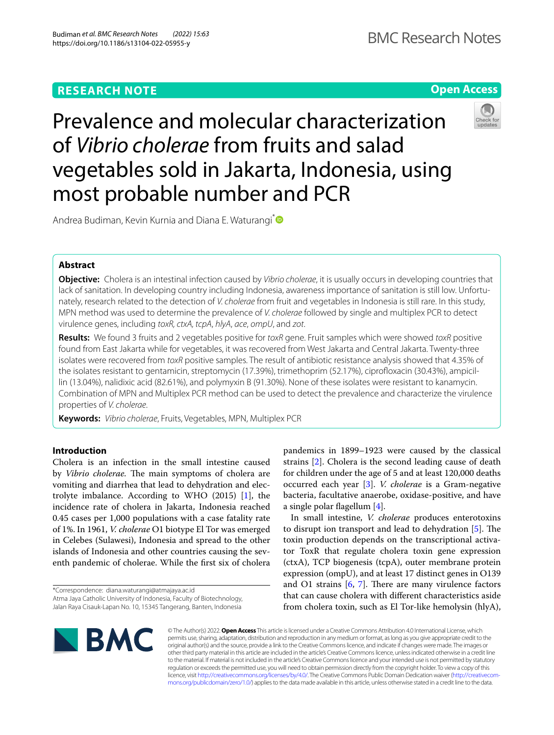# **RESEARCH NOTE**

**Open Access**

# Prevalence and molecular characterization of *Vibrio cholerae* from fruits and salad vegetables sold in Jakarta, Indonesia, using most probable number and PCR



Andrea Budiman, Kevin Kurnia and Diana E. Waturangi<sup>[\\*](http://orcid.org/0000-0002-6013-7979)</sup>

# **Abstract**

**Objective:** Cholera is an intestinal infection caused by *Vibrio cholerae*, it is usually occurs in developing countries that lack of sanitation. In developing country including Indonesia, awareness importance of sanitation is still low. Unfortunately, research related to the detection of *V. cholerae* from fruit and vegetables in Indonesia is still rare. In this study, MPN method was used to determine the prevalence of *V. cholerae* followed by single and multiplex PCR to detect virulence genes, including *toxR, ctxA, tcpA*, *hlyA*, *ace*, *ompU*, and *zot*.

**Results:** We found 3 fruits and 2 vegetables positive for *toxR* gene. Fruit samples which were showed *toxR* positive found from East Jakarta while for vegetables, it was recovered from West Jakarta and Central Jakarta. Twenty-three isolates were recovered from *toxR* positive samples. The result of antibiotic resistance analysis showed that 4.35% of the isolates resistant to gentamicin, streptomycin (17.39%), trimethoprim (52.17%), ciprofoxacin (30.43%), ampicillin (13.04%), nalidixic acid (82.61%), and polymyxin B (91.30%). None of these isolates were resistant to kanamycin. Combination of MPN and Multiplex PCR method can be used to detect the prevalence and characterize the virulence properties of *V. cholerae*.

**Keywords:** *Vibrio cholerae*, Fruits, Vegetables, MPN, Multiplex PCR

# **Introduction**

Cholera is an infection in the small intestine caused by *Vibrio cholerae*. The main symptoms of cholera are vomiting and diarrhea that lead to dehydration and electrolyte imbalance. According to WHO (2015) [\[1](#page-8-0)], the incidence rate of cholera in Jakarta, Indonesia reached 0.45 cases per 1,000 populations with a case fatality rate of 1%. In 1961, *V. cholerae* O1 biotype El Tor was emerged in Celebes (Sulawesi), Indonesia and spread to the other islands of Indonesia and other countries causing the seventh pandemic of cholerae. While the frst six of cholera

pandemics in 1899–1923 were caused by the classical strains [\[2](#page-8-1)]. Cholera is the second leading cause of death for children under the age of 5 and at least 120,000 deaths occurred each year [\[3](#page-8-2)]. *V. cholerae* is a Gram-negative bacteria, facultative anaerobe, oxidase-positive, and have a single polar fagellum [\[4](#page-8-3)].

In small intestine, *V. cholerae* produces enterotoxins to disrupt ion transport and lead to dehydration  $[5]$  $[5]$ . The toxin production depends on the transcriptional activator ToxR that regulate cholera toxin gene expression (ctxA), TCP biogenesis (tcpA), outer membrane protein expression (ompU), and at least 17 distinct genes in O139 and O1 strains  $[6, 7]$  $[6, 7]$  $[6, 7]$  $[6, 7]$ . There are many virulence factors that can cause cholera with diferent characteristics aside from cholera toxin, such as El Tor-like hemolysin (hlyA),



© The Author(s) 2022. **Open Access** This article is licensed under a Creative Commons Attribution 4.0 International License, which permits use, sharing, adaptation, distribution and reproduction in any medium or format, as long as you give appropriate credit to the original author(s) and the source, provide a link to the Creative Commons licence, and indicate if changes were made. The images or other third party material in this article are included in the article's Creative Commons licence, unless indicated otherwise in a credit line to the material. If material is not included in the article's Creative Commons licence and your intended use is not permitted by statutory regulation or exceeds the permitted use, you will need to obtain permission directly from the copyright holder. To view a copy of this licence, visit [http://creativecommons.org/licenses/by/4.0/.](http://creativecommons.org/licenses/by/4.0/) The Creative Commons Public Domain Dedication waiver ([http://creativecom](http://creativecommons.org/publicdomain/zero/1.0/)[mons.org/publicdomain/zero/1.0/\)](http://creativecommons.org/publicdomain/zero/1.0/) applies to the data made available in this article, unless otherwise stated in a credit line to the data.

<sup>\*</sup>Correspondence: diana.waturangi@atmajaya.ac.id Atma Jaya Catholic University of Indonesia, Faculty of Biotechnology, Jalan Raya Cisauk-Lapan No. 10, 15345 Tangerang, Banten, Indonesia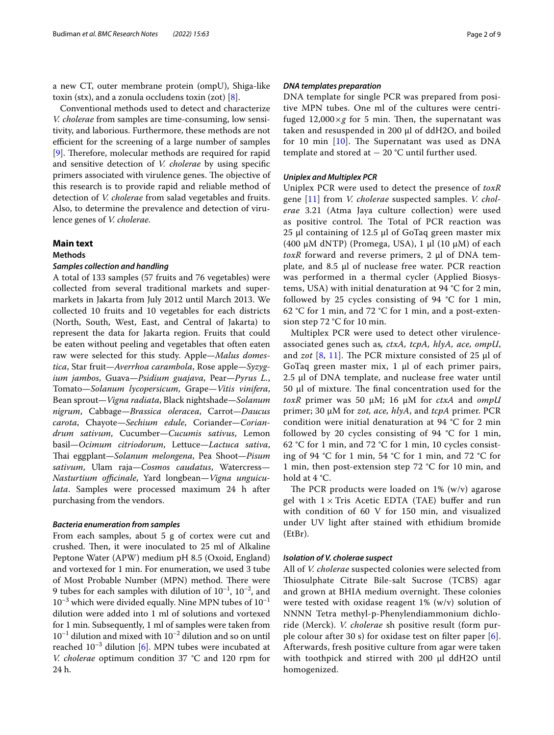a new CT, outer membrane protein (ompU), Shiga-like toxin (stx), and a zonula occludens toxin (zot)  $[8]$ .

Conventional methods used to detect and characterize *V. cholerae* from samples are time-consuming, low sensitivity, and laborious. Furthermore, these methods are not efficient for the screening of a large number of samples [[9\]](#page-8-8). Therefore, molecular methods are required for rapid and sensitive detection of *V. cholerae* by using specifc primers associated with virulence genes. The objective of this research is to provide rapid and reliable method of detection of *V. cholerae* from salad vegetables and fruits. Also, to determine the prevalence and detection of virulence genes of *V. cholerae*.

# **Main text**

# **Methods**

## *Samples collection and handling*

A total of 133 samples (57 fruits and 76 vegetables) were collected from several traditional markets and supermarkets in Jakarta from July 2012 until March 2013. We collected 10 fruits and 10 vegetables for each districts (North, South, West, East, and Central of Jakarta) to represent the data for Jakarta region. Fruits that could be eaten without peeling and vegetables that often eaten raw were selected for this study. Apple—*Malus domestica*, Star fruit—*Averrhoa carambola*, Rose apple—*Syzygium jambos*, Guava—*Psidium guajava*, Pear—*Pyrus L.*, Tomato—*Solanum lycopersicum*, Grape—*Vitis vinifera*, Bean sprout—*Vigna radiata*, Black nightshade—*Solanum nigrum*, Cabbage—*Brassica oleracea*, Carrot—*Daucus carota*, Chayote—*Sechium edule*, Coriander—*Coriandrum sativum*, Cucumber—*Cucumis sativus*, Lemon basil—*Ocimum citriodorum*, Lettuce—*Lactuca sativa*, Tai eggplant—*Solanum melongena*, Pea Shoot—*Pisum sativum*, Ulam raja—*Cosmos caudatus*, Watercress— *Nasturtium officinale*, Yard longbean-Vigna unguicu*lata*. Samples were processed maximum 24 h after purchasing from the vendors.

## *Bacteria enumeration from samples*

From each samples, about 5 g of cortex were cut and crushed. Then, it were inoculated to 25 ml of Alkaline Peptone Water (APW) medium pH 8.5 (Oxoid, England) and vortexed for 1 min. For enumeration, we used 3 tube of Most Probable Number (MPN) method. There were 9 tubes for each samples with dilution of  $10^{-1}$ ,  $10^{-2}$ , and  $10^{-3}$  which were divided equally. Nine MPN tubes of  $10^{-1}$ dilution were added into 1 ml of solutions and vortexed for 1 min. Subsequently, 1 ml of samples were taken from  $10^{-1}$  dilution and mixed with  $10^{-2}$  dilution and so on until reached  $10^{-3}$  dilution [[6\]](#page-8-5). MPN tubes were incubated at *V. cholerae* optimum condition 37 °C and 120 rpm for 24 h.

## *DNA templates preparation*

DNA template for single PCR was prepared from positive MPN tubes. One ml of the cultures were centrifuged  $12,000\times g$  for 5 min. Then, the supernatant was taken and resuspended in 200 µl of ddH2O, and boiled for 10 min  $[10]$  $[10]$ . The Supernatant was used as DNA template and stored at  $-20$  °C until further used.

# *Uniplex and Multiplex PCR*

Uniplex PCR were used to detect the presence of *toxR* gene [[11](#page-8-10)] from *V. cholerae* suspected samples. *V. cholerae* 3.21 (Atma Jaya culture collection) were used as positive control. The Total of PCR reaction was 25 μl containing of 12.5 μl of GoTaq green master mix (400 μM dNTP) (Promega, USA), 1 μl (10 μM) of each *toxR* forward and reverse primers, 2 μl of DNA template, and 8.5 μl of nuclease free water. PCR reaction was performed in a thermal cycler (Applied Biosystems, USA) with initial denaturation at 94 °C for 2 min, followed by 25 cycles consisting of 94 °C for 1 min, 62 °C for 1 min, and 72 °C for 1 min, and a post-extension step 72 °C for 10 min.

Multiplex PCR were used to detect other virulenceassociated genes such as*, ctxA, tcpA, hlyA, ace, ompU*, and *zot* [[8,](#page-8-7) [11\]](#page-8-10). The PCR mixture consisted of 25  $\mu$ l of GoTaq green master mix,  $1 \mu l$  of each primer pairs, 2.5 μl of DNA template, and nuclease free water until  $50 \mu l$  of mixture. The final concentration used for the *toxR* primer was 50 µM; 16 µM for *ctxA* and *ompU* primer; 30 µM for *zot, ace, hlyA*, and *tcpA* primer. PCR condition were initial denaturation at 94 °C for 2 min followed by 20 cycles consisting of 94  $°C$  for 1 min, 62 °C for 1 min, and 72 °C for 1 min, 10 cycles consisting of 94 °C for 1 min, 54 °C for 1 min, and 72 °C for 1 min, then post-extension step 72 °C for 10 min, and hold at 4 °C.

The PCR products were loaded on  $1\%$  (w/v) agarose gel with  $1 \times$  Tris Acetic EDTA (TAE) buffer and run with condition of 60 V for 150 min, and visualized under UV light after stained with ethidium bromide (EtBr).

## *Isolation of V. cholerae suspect*

All of *V. cholerae* suspected colonies were selected from Thiosulphate Citrate Bile-salt Sucrose (TCBS) agar and grown at BHIA medium overnight. These colonies were tested with oxidase reagent 1% (w/v) solution of NNNN Tetra methyl-p-Phenylendiammonium dichloride (Merck). *V. cholerae* sh positive result (form purple colour after 30 s) for oxidase test on filter paper  $[6]$  $[6]$  $[6]$ . Afterwards, fresh positive culture from agar were taken with toothpick and stirred with 200 µl ddH2O until homogenized.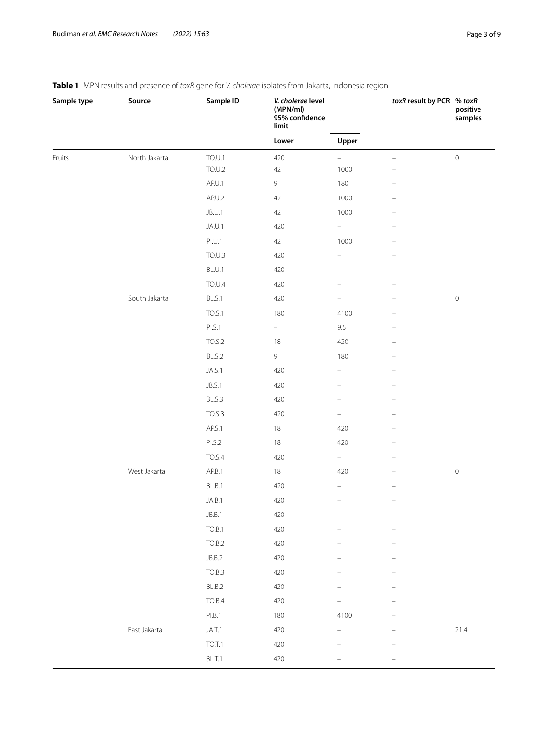| Sample type | Source        | Sample ID     | V. cholerae level<br>(MPN/ml)<br>95% confidence<br>limit |                          | toxR result by PCR % toxR | positive<br>samples |  |
|-------------|---------------|---------------|----------------------------------------------------------|--------------------------|---------------------------|---------------------|--|
|             |               |               | Lower                                                    | Upper                    |                           |                     |  |
| Fruits      | North Jakarta | TO.U.1        | 420                                                      | $\qquad \qquad -$        | $\overline{\phantom{m}}$  | $\mathsf{O}\xspace$ |  |
|             |               | TO.U.2        | $42\,$                                                   | 1000                     |                           |                     |  |
|             |               | AP.U.1        | $\,9$                                                    | 180                      | $\qquad \qquad -$         |                     |  |
|             |               | AP.U.2        | 42                                                       | 1000                     |                           |                     |  |
|             |               | JB.U.1        | 42                                                       | 1000                     | -                         |                     |  |
|             |               | JA.U.1        | 420                                                      | $\overline{\phantom{0}}$ |                           |                     |  |
|             |               | PI.U.1        | 42                                                       | 1000                     | $\equiv$                  |                     |  |
|             |               | TO.U.3        | 420                                                      | $\qquad \qquad -$        |                           |                     |  |
|             |               | BL.U.1        | 420                                                      |                          |                           |                     |  |
|             |               | <b>TO.U.4</b> | 420                                                      | $\overline{\phantom{0}}$ |                           |                     |  |
|             | South Jakarta | BL.S.1        | 420                                                      |                          |                           | $\mathsf{O}\xspace$ |  |
|             |               | <b>TO.S.1</b> | 180                                                      | 4100                     | $\overline{\phantom{m}}$  |                     |  |
|             |               | PI.S.1        | $\equiv$                                                 | $9.5\,$                  |                           |                     |  |
|             |               | TO.S.2        | $18\,$                                                   | 420                      | $\overline{\phantom{m}}$  |                     |  |
|             |               | BL.S.2        | $\mathsf 9$                                              | 180                      |                           |                     |  |
|             |               | JA.S.1        | 420                                                      | $\qquad \qquad -$        |                           |                     |  |
|             |               | JB.S.1        | 420                                                      | $\qquad \qquad -$        |                           |                     |  |
|             |               | BL.S.3        | 420                                                      |                          |                           |                     |  |
|             |               | <b>TO.S.3</b> | 420                                                      | -                        | $\equiv$                  |                     |  |
|             |               | AP.S.1        | $18\,$                                                   | 420                      |                           |                     |  |
|             |               | PI.S.2        | 18                                                       | 420                      | $\qquad \qquad -$         |                     |  |
|             |               | <b>TO.S.4</b> | 420                                                      | $\equiv$                 |                           |                     |  |
|             | West Jakarta  | AP.B.1        | $18\,$                                                   | 420                      | $\overline{\phantom{0}}$  | $\mathsf{O}\xspace$ |  |
|             |               | BL.B.1        | 420                                                      | -                        |                           |                     |  |
|             |               | JA.B.1        | 420                                                      |                          |                           |                     |  |
|             |               | JB.B.1        | 420                                                      | -                        | $\qquad \qquad -$         |                     |  |
|             |               | TO.B.1        | 420                                                      |                          |                           |                     |  |
|             |               | TO.B.2        | 420                                                      |                          |                           |                     |  |
|             |               | JB.B.2        | 420                                                      |                          |                           |                     |  |
|             |               | TO.B.3        | 420                                                      |                          |                           |                     |  |
|             |               | BL.B.2        | 420                                                      |                          |                           |                     |  |
|             |               | TO.B.4        | 420                                                      |                          |                           |                     |  |
|             |               | PI.B.1        | 180                                                      | 4100                     |                           |                     |  |
|             | East Jakarta  | JA.T.1        | 420                                                      |                          |                           | 21.4                |  |
|             |               | TO.T.1        | 420                                                      |                          |                           |                     |  |
|             |               | BL.T.1        | 420                                                      |                          |                           |                     |  |

# <span id="page-2-0"></span>**Table 1** MPN results and presence of *toxR* gene for *V. cholerae* isolates from Jakarta, Indonesia region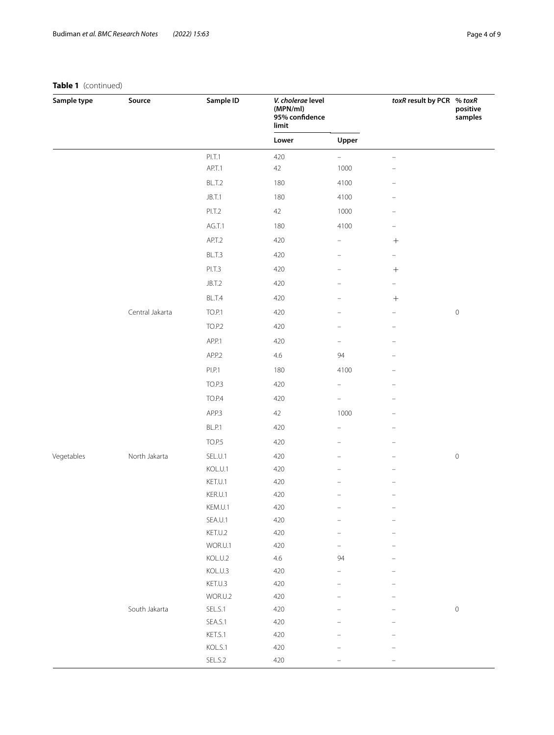# **Table 1** (continued)

| Sample type | Source          | Sample ID<br>V. cholerae level<br>(MPN/ml)<br>95% confidence<br>limit |                |                          | toxR result by PCR % toxR      | positive<br>samples |  |
|-------------|-----------------|-----------------------------------------------------------------------|----------------|--------------------------|--------------------------------|---------------------|--|
|             |                 |                                                                       | Lower<br>Upper |                          |                                |                     |  |
|             |                 | PI.T.1                                                                | 420            | $\qquad \qquad -$        | $\qquad \qquad -$              |                     |  |
|             |                 | AP.T.1                                                                | 42             | 1000                     |                                |                     |  |
|             |                 | BL.T.2                                                                | 180            | 4100                     | $\overline{\phantom{0}}$       |                     |  |
|             |                 | JB.T.1                                                                | 180            | 4100                     | -                              |                     |  |
|             |                 | PI.T.2                                                                | 42             | 1000                     | -                              |                     |  |
|             |                 | AG.T.1                                                                | 180            | 4100                     | $\qquad \qquad -$              |                     |  |
|             |                 | AP.T.2                                                                | 420            | $\qquad \qquad -$        |                                |                     |  |
|             |                 | BL.T.3                                                                | 420            | $\overline{\phantom{0}}$ | $\frac{1}{2}$                  |                     |  |
|             |                 | PI.T.3                                                                | 420            |                          | $\boldsymbol{+}$               |                     |  |
|             |                 | JB.T.2                                                                | 420            |                          | -                              |                     |  |
|             |                 | BL.T.4                                                                | 420            |                          |                                |                     |  |
|             | Central Jakarta | <b>TO.P.1</b>                                                         | 420            |                          | $\qquad \qquad \longleftarrow$ | $\,0\,$             |  |
|             |                 | <b>TO.P.2</b>                                                         | 420            |                          |                                |                     |  |
|             |                 | AP.P.1                                                                | 420            | -                        | $\qquad \qquad -$              |                     |  |
|             |                 | AP.P.2                                                                | 4.6            | 94                       |                                |                     |  |
|             |                 | PI.P.1                                                                |                |                          |                                |                     |  |
|             |                 |                                                                       | 180            | 4100                     |                                |                     |  |
|             |                 | <b>TO.P.3</b>                                                         | 420            | $\qquad \qquad -$        | $\qquad \qquad -$              |                     |  |
|             |                 | <b>TO.P.4</b>                                                         | 420            |                          |                                |                     |  |
|             |                 | AP.P.3                                                                | 42             | 1000                     |                                |                     |  |
|             |                 | BL.P.1                                                                | 420            | -                        |                                |                     |  |
|             |                 | TO.P.5                                                                | 420            | -                        | -                              |                     |  |
| Vegetables  | North Jakarta   | SEL.U.1                                                               | 420            |                          |                                | $\mathsf{O}\xspace$ |  |
|             |                 | KOL.U.1                                                               | 420            |                          |                                |                     |  |
|             |                 | KET.U.1                                                               | 420            |                          |                                |                     |  |
|             |                 | KER.U.1<br>KEM.U.1                                                    | 420<br>420     |                          |                                |                     |  |
|             |                 | SEA.U.1                                                               | 420            | -                        | -                              |                     |  |
|             |                 | KET.U.2                                                               | 420            | $\overline{\phantom{0}}$ | $\equiv$                       |                     |  |
|             |                 | WOR.U.1                                                               | 420            | -                        |                                |                     |  |
|             |                 | KOL.U.2                                                               | $4.6\,$        | 94                       |                                |                     |  |
|             |                 | KOL.U.3                                                               | 420            | $\overline{\phantom{0}}$ |                                |                     |  |
|             |                 | KET.U.3                                                               | 420            |                          |                                |                     |  |
|             |                 | WOR.U.2                                                               | 420            |                          |                                |                     |  |
|             | South Jakarta   | SEL.S.1                                                               | 420            |                          |                                | $\mathsf{O}\xspace$ |  |
|             |                 | SEA.S.1                                                               | 420            |                          |                                |                     |  |
|             |                 | KET.S.1                                                               | 420            |                          |                                |                     |  |
|             |                 | KOL.S.1                                                               | 420            |                          |                                |                     |  |
|             |                 | SEL.S.2                                                               | 420            |                          |                                |                     |  |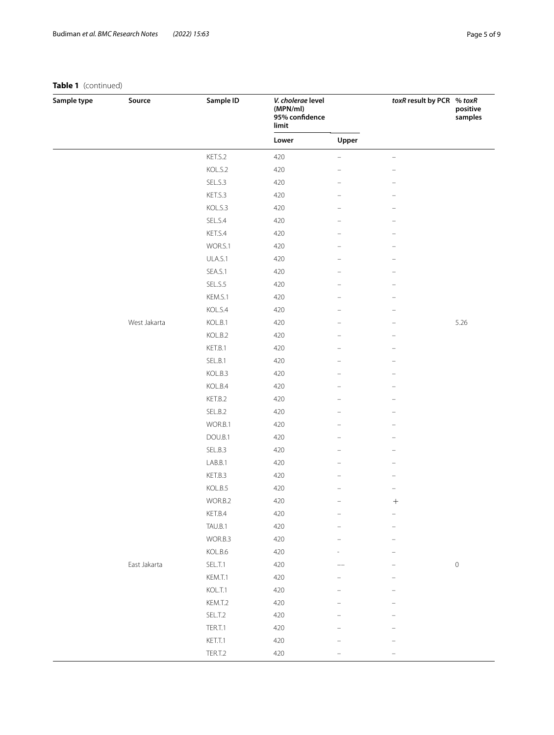# **Table 1** (continued)

| Sample type | Source       | Sample ID | V. cholerae level<br>(MPN/ml)<br>95% confidence<br>limit |       | toxR result by PCR % toxR | positive<br>samples |
|-------------|--------------|-----------|----------------------------------------------------------|-------|---------------------------|---------------------|
|             |              |           | Lower                                                    | Upper |                           |                     |
|             |              | KET.S.2   | 420                                                      | ÷     | $\overline{\phantom{0}}$  |                     |
|             |              | KOL.S.2   | 420                                                      |       |                           |                     |
|             |              | SEL.S.3   | 420                                                      |       |                           |                     |
|             |              | KET.S.3   | 420                                                      |       | -                         |                     |
|             |              | KOL.S.3   | 420                                                      |       |                           |                     |
|             |              | SEL.S.4   | 420                                                      |       |                           |                     |
|             |              | KET.S.4   | 420                                                      |       | -                         |                     |
|             |              | WOR.S.1   | 420                                                      |       |                           |                     |
|             |              | ULA.S.1   | 420                                                      |       |                           |                     |
|             |              | SEA.S.1   | 420                                                      |       | $\overline{\phantom{0}}$  |                     |
|             |              | SEL.S.5   | 420                                                      |       | -                         |                     |
|             |              | KEM.S.1   | 420                                                      |       |                           |                     |
|             |              | KOL.S.4   | 420                                                      |       |                           |                     |
|             | West Jakarta | KOL.B.1   | 420                                                      |       |                           | 5.26                |
|             |              | KOL.B.2   | 420                                                      |       |                           |                     |
|             |              | KET.B.1   | 420                                                      |       |                           |                     |
|             |              | SEL.B.1   | 420                                                      |       |                           |                     |
|             |              | KOL.B.3   | 420                                                      |       | $\overline{\phantom{0}}$  |                     |
|             |              | KOL.B.4   | 420                                                      |       | -                         |                     |
|             |              | KET.B.2   | 420                                                      |       |                           |                     |
|             |              | SEL.B.2   | 420                                                      |       |                           |                     |
|             |              | WOR.B.1   | 420                                                      |       |                           |                     |
|             |              | DOU.B.1   | 420                                                      |       |                           |                     |
|             |              | SEL.B.3   | 420                                                      |       |                           |                     |
|             |              | LAB.B.1   | 420                                                      | -     | $\overline{\phantom{0}}$  |                     |
|             |              | KET.B.3   | 420                                                      |       | -                         |                     |
|             |              | KOL.B.5   | 420                                                      |       |                           |                     |
|             |              | WOR.B.2   | 420                                                      |       |                           |                     |
|             |              | KET.B.4   | 420                                                      |       | $\overline{\phantom{0}}$  |                     |
|             |              | TAU.B.1   | 420                                                      |       |                           |                     |
|             |              | WOR.B.3   | 420                                                      |       |                           |                     |
|             |              | KOL.B.6   | 420                                                      |       |                           |                     |
|             | East Jakarta | SEL.T.1   | 420                                                      |       |                           | $\mathsf{O}\xspace$ |
|             |              | KEM.T.1   | 420                                                      |       |                           |                     |
|             |              | KOL.T.1   | 420                                                      |       |                           |                     |
|             |              | KEM.T.2   | 420                                                      |       |                           |                     |
|             |              | SEL.T.2   | 420                                                      |       |                           |                     |
|             |              | TER.T.1   | 420                                                      |       |                           |                     |
|             |              | KET.T.1   | 420                                                      |       |                           |                     |
|             |              | TER.T.2   | 420                                                      |       |                           |                     |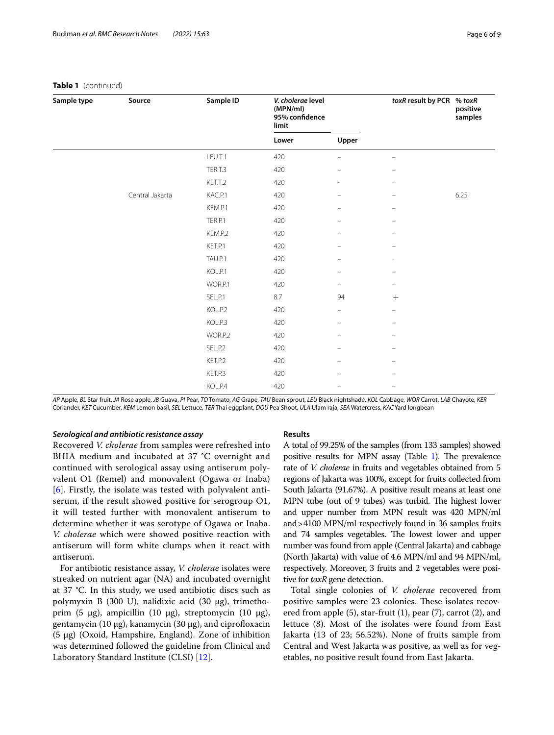| Sample type | Source          | Sample ID | V. cholerae level<br>(MPN/ml)<br>95% confidence<br>limit |                          | toxR result by PCR % toxR | positive<br>samples |  |
|-------------|-----------------|-----------|----------------------------------------------------------|--------------------------|---------------------------|---------------------|--|
|             |                 |           | Lower                                                    | Upper                    |                           |                     |  |
|             |                 | LEU.T.1   | 420                                                      | $\overline{\phantom{a}}$ | $\overline{\phantom{0}}$  |                     |  |
|             |                 | TER.T.3   | 420                                                      | $\overline{\phantom{m}}$ |                           |                     |  |
|             |                 | KET.T.2   | 420                                                      | $\overline{\phantom{a}}$ | $\overline{\phantom{m}}$  |                     |  |
|             | Central Jakarta | KAC.P.1   | 420                                                      | $\qquad \qquad -$        | $\qquad \qquad -$         | 6.25                |  |
|             |                 | KEM.P.1   | 420                                                      | $\overline{\phantom{m}}$ | $\overline{\phantom{m}}$  |                     |  |
|             |                 | TER.P.1   | 420                                                      | $\qquad \qquad -$        | $\overline{\phantom{m}}$  |                     |  |
|             |                 | KEM.P.2   | 420                                                      | $\overline{\phantom{m}}$ |                           |                     |  |
|             |                 | KET.P.1   | 420                                                      | $\overline{\phantom{m}}$ | $\overline{\phantom{0}}$  |                     |  |
|             |                 | TAU.P.1   | 420                                                      | $\qquad \qquad -$        |                           |                     |  |
|             |                 | KOL.P.1   | 420                                                      | $\equiv$                 |                           |                     |  |
|             |                 | WOR.P.1   | 420                                                      | $\overline{\phantom{m}}$ | -                         |                     |  |
|             |                 | SEL.P.1   | 8.7                                                      | 94                       | $^{+}$                    |                     |  |
|             |                 | KOL.P.2   | 420                                                      | $\overline{\phantom{m}}$ | $\overline{\phantom{0}}$  |                     |  |
|             |                 | KOL.P.3   | 420                                                      | $\overline{\phantom{m}}$ | $\overline{\phantom{0}}$  |                     |  |
|             |                 | WOR.P.2   | 420                                                      | $\overline{\phantom{m}}$ |                           |                     |  |
|             |                 | SEL.P.2   | 420                                                      | $\overline{\phantom{m}}$ | $\overline{\phantom{0}}$  |                     |  |
|             |                 | KET.P.2   | 420                                                      | $\equiv$                 |                           |                     |  |
|             |                 | KET.P.3   | 420                                                      | $\overline{\phantom{m}}$ | $\overline{\phantom{0}}$  |                     |  |
|             |                 | KOL.P.4   | 420                                                      | $\overline{\phantom{m}}$ | $\overline{\phantom{0}}$  |                     |  |

#### **Table 1** (continued)

AP Apple, BL Star fruit, JA Rose apple, JB Guava, PI Pear, TO Tomato, AG Grape, TAU Bean sprout, LEU Black nightshade, KOL Cabbage, WOR Carrot, LAB Chayote, KER Coriander, *KET* Cucumber, *KEM* Lemon basil, *SEL* Lettuce, *TER* Thai eggplant, *DOU* Pea Shoot, *ULA* Ulam raja, *SEA* Watercress, *KAC* Yard longbean

## *Serological and antibiotic resistance assay*

Recovered *V. cholerae* from samples were refreshed into BHIA medium and incubated at 37 °C overnight and continued with serological assay using antiserum polyvalent O1 (Remel) and monovalent (Ogawa or Inaba) [[6](#page-8-5)]. Firstly, the isolate was tested with polyvalent antiserum, if the result showed positive for serogroup O1, it will tested further with monovalent antiserum to determine whether it was serotype of Ogawa or Inaba. *V. cholerae* which were showed positive reaction with antiserum will form white clumps when it react with antiserum.

For antibiotic resistance assay, *V. cholerae* isolates were streaked on nutrient agar (NA) and incubated overnight at 37 °C. In this study, we used antibiotic discs such as polymyxin B (300 U), nalidixic acid (30 µg), trimethoprim (5 µg), ampicillin (10 µg), streptomycin (10 µg), gentamycin (10  $\mu$ g), kanamycin (30  $\mu$ g), and ciprofloxacin  $(5 \mu g)$  (Oxoid, Hampshire, England). Zone of inhibition was determined followed the guideline from Clinical and Laboratory Standard Institute (CLSI) [\[12](#page-8-11)].

## **Results**

A total of 99.25% of the samples (from 133 samples) showed positive results for MPN assay (Table [1\)](#page-2-0). The prevalence rate of *V. cholerae* in fruits and vegetables obtained from 5 regions of Jakarta was 100%, except for fruits collected from South Jakarta (91.67%). A positive result means at least one MPN tube (out of 9 tubes) was turbid. The highest lower and upper number from MPN result was 420 MPN/ml and>4100 MPN/ml respectively found in 36 samples fruits and 74 samples vegetables. The lowest lower and upper number was found from apple (Central Jakarta) and cabbage (North Jakarta) with value of 4.6 MPN/ml and 94 MPN/ml, respectively. Moreover, 3 fruits and 2 vegetables were positive for *toxR* gene detection.

Total single colonies of *V. cholerae* recovered from positive samples were 23 colonies. These isolates recovered from apple (5), star-fruit (1), pear (7), carrot (2), and lettuce (8). Most of the isolates were found from East Jakarta (13 of 23; 56.52%). None of fruits sample from Central and West Jakarta was positive, as well as for vegetables, no positive result found from East Jakarta.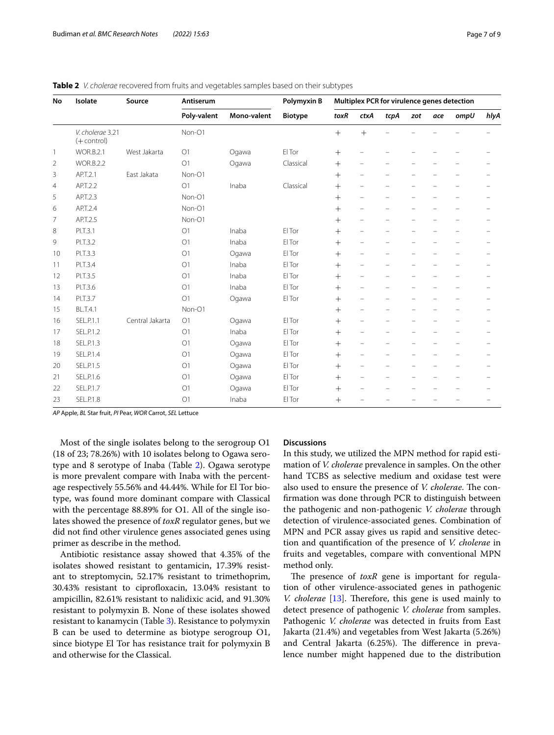<span id="page-6-0"></span>

| Table 2 V. cholerae recovered from fruits and vegetables samples based on their subtypes |
|------------------------------------------------------------------------------------------|
|------------------------------------------------------------------------------------------|

| No           | Isolate                           | Source          | Antiserum      |             | Polymyxin B    |        |                          |                          |                          |     | Multiplex PCR for virulence genes detection |                          |
|--------------|-----------------------------------|-----------------|----------------|-------------|----------------|--------|--------------------------|--------------------------|--------------------------|-----|---------------------------------------------|--------------------------|
|              |                                   |                 | Poly-valent    | Mono-valent | <b>Biotype</b> | toxR   | ctxA                     | tcpA                     | zot                      | ace | ompU                                        | hlyA                     |
|              | V. cholerae 3.21<br>$(+$ control) |                 | Non-O1         |             |                | $+$    | $+$                      |                          |                          |     |                                             |                          |
| $\mathbf{1}$ | <b>WOR.B.2.1</b>                  | West Jakarta    | O <sub>1</sub> | Ogawa       | El Tor         | $+$    |                          |                          |                          |     |                                             |                          |
| 2            | <b>WOR.B.2.2</b>                  |                 | O <sub>1</sub> | Ogawa       | Classical      | $+$    | -                        |                          |                          |     |                                             |                          |
| 3            | AP.T.2.1                          | East Jakata     | Non-O1         |             |                | $^{+}$ | $\overline{\phantom{0}}$ |                          |                          |     |                                             |                          |
| 4            | AP.T.2.2                          |                 | O1             | Inaba       | Classical      | $+$    | $\overline{\phantom{0}}$ |                          | -                        |     |                                             |                          |
| 5            | AP.T.2.3                          |                 | Non-O1         |             |                | $^{+}$ | L.                       |                          |                          |     |                                             |                          |
| 6            | AP.T.2.4                          |                 | Non-O1         |             |                | $+$    | $\equiv$                 |                          |                          |     |                                             |                          |
| 7            | AP.T.2.5                          |                 | Non-O1         |             |                | $+$    | $\overline{\phantom{0}}$ | $\overline{\phantom{0}}$ | $\equiv$                 |     |                                             | -                        |
| 8            | PI.T.3.1                          |                 | O <sub>1</sub> | Inaba       | FI Tor         | $+$    | ÷                        |                          |                          |     |                                             |                          |
| 9            | PI.T.3.2                          |                 | O <sub>1</sub> | Inaba       | El Tor         | $+$    | $\overline{\phantom{0}}$ | $\overline{\phantom{0}}$ | $\overline{\phantom{0}}$ |     |                                             | $\overline{\phantom{0}}$ |
| 10           | PI.T.3.3                          |                 | O <sub>1</sub> | Ogawa       | El Tor         | $+$    | $\overline{\phantom{0}}$ |                          |                          |     |                                             |                          |
| 11           | PI.T.3.4                          |                 | O <sub>1</sub> | Inaba       | El Tor         | $+$    | $\overline{\phantom{0}}$ |                          |                          |     |                                             |                          |
| 12           | PI.T.3.5                          |                 | O <sub>1</sub> | Inaba       | El Tor         | $+$    | $\overline{\phantom{0}}$ |                          |                          |     |                                             |                          |
| 13           | PI.T.3.6                          |                 | O1             | Inaba       | El Tor         | $+$    | $\overline{\phantom{0}}$ | -                        | $\overline{\phantom{0}}$ |     |                                             |                          |
| 14           | PI.T.3.7                          |                 | O <sub>1</sub> | Ogawa       | El Tor         | $+$    | $\overline{\phantom{0}}$ |                          |                          |     |                                             |                          |
| 15           | <b>BL.T.4.1</b>                   |                 | Non-O1         |             |                | $^{+}$ | $\equiv$                 |                          |                          |     |                                             |                          |
| 16           | SEL.P.1.1                         | Central Jakarta | O1             | Ogawa       | El Tor         | $+$    | $\overline{\phantom{0}}$ | $\overline{\phantom{0}}$ | $\overline{\phantom{0}}$ |     |                                             |                          |
| 17           | SEL.P.1.2                         |                 | O <sub>1</sub> | Inaba       | El Tor         | $+$    | $\overline{\phantom{0}}$ |                          |                          |     |                                             |                          |
| 18           | <b>SEL.P.1.3</b>                  |                 | O <sub>1</sub> | Ogawa       | El Tor         | $+$    | -                        | $\overline{\phantom{0}}$ | $\overline{\phantom{0}}$ |     |                                             |                          |
| 19           | <b>SEL.P.1.4</b>                  |                 | O <sub>1</sub> | Ogawa       | El Tor         | $+$    | $\overline{\phantom{0}}$ | $\equiv$                 | $\equiv$                 |     |                                             | $\overline{\phantom{0}}$ |
| 20           | <b>SEL.P.1.5</b>                  |                 | O <sub>1</sub> | Ogawa       | El Tor         | $+$    | $\overline{\phantom{0}}$ |                          |                          |     |                                             |                          |
| 21           | SEL.P.1.6                         |                 | O <sub>1</sub> | Ogawa       | El Tor         | $+$    | -                        | $\equiv$                 |                          |     |                                             |                          |
| 22           | <b>SEL.P.1.7</b>                  |                 | O <sub>1</sub> | Ogawa       | El Tor         | $+$    |                          |                          |                          |     |                                             |                          |
| 23           | <b>SEL.P.1.8</b>                  |                 | O <sub>1</sub> | Inaba       | El Tor         | $^{+}$ |                          |                          |                          |     |                                             |                          |

*AP* Apple, *BL* Star fruit, *PI* Pear, *WOR* Carrot, *SEL* Lettuce

Most of the single isolates belong to the serogroup O1 (18 of 23; 78.26%) with 10 isolates belong to Ogawa serotype and 8 serotype of Inaba (Table [2\)](#page-6-0). Ogawa serotype is more prevalent compare with Inaba with the percentage respectively 55.56% and 44.44%. While for El Tor biotype, was found more dominant compare with Classical with the percentage 88.89% for O1. All of the single isolates showed the presence of *toxR* regulator genes, but we did not fnd other virulence genes associated genes using primer as describe in the method.

Antibiotic resistance assay showed that 4.35% of the isolates showed resistant to gentamicin, 17.39% resistant to streptomycin, 52.17% resistant to trimethoprim, 30.43% resistant to ciprofoxacin, 13.04% resistant to ampicillin, 82.61% resistant to nalidixic acid, and 91.30% resistant to polymyxin B. None of these isolates showed resistant to kanamycin (Table [3\)](#page-7-0). Resistance to polymyxin B can be used to determine as biotype serogroup O1, since biotype El Tor has resistance trait for polymyxin B and otherwise for the Classical.

## **Discussions**

In this study, we utilized the MPN method for rapid estimation of *V. cholerae* prevalence in samples. On the other hand TCBS as selective medium and oxidase test were also used to ensure the presence of *V. cholerae*. The confrmation was done through PCR to distinguish between the pathogenic and non-pathogenic *V. cholerae* through detection of virulence-associated genes. Combination of MPN and PCR assay gives us rapid and sensitive detection and quantifcation of the presence of *V. cholerae* in fruits and vegetables, compare with conventional MPN method only.

The presence of *toxR* gene is important for regulation of other virulence-associated genes in pathogenic *V. cholerae* [\[13](#page-8-12)]. Therefore, this gene is used mainly to detect presence of pathogenic *V. cholerae* from samples. Pathogenic *V. cholerae* was detected in fruits from East Jakarta (21.4%) and vegetables from West Jakarta (5.26%) and Central Jakarta (6.25%). The difference in prevalence number might happened due to the distribution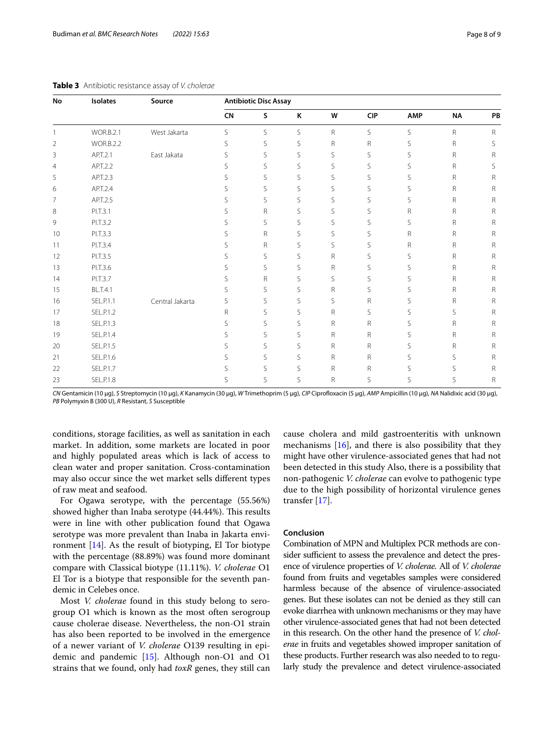| No             | <b>Isolates</b>  | Source          |           | <b>Antibiotic Disc Assay</b> |   |   |            |              |           |              |
|----------------|------------------|-----------------|-----------|------------------------------|---|---|------------|--------------|-----------|--------------|
|                |                  |                 | <b>CN</b> | S                            | K | W | <b>CIP</b> | <b>AMP</b>   | <b>NA</b> | PB           |
|                | <b>WOR.B.2.1</b> | West Jakarta    | S         | S                            | S | R | S          | S            | R         | $\mathsf{R}$ |
| $\overline{2}$ | <b>WOR.B.2.2</b> |                 | S         | S                            | S | R | R          | S            | R         | S            |
| 3              | AP.T.2.1         | East Jakata     | S         | S                            | S | S | S          | S            | R         | R            |
| $\overline{4}$ | AP.T.2.2         |                 | S         | S                            | S | S | S          | S            | R         | S            |
| 5              | AP.T.2.3         |                 | S         | S                            | S | S | S          | S            | R         | R            |
| 6              | AP.T.2.4         |                 | S         | S                            | S | S | S          | S            | R         | $\mathsf R$  |
| 7              | AP.T.2.5         |                 | S         | S                            | S | S | S          | S            | R         | R            |
| 8              | PI.T.3.1         |                 | S         | R                            | S | S | S          | R            | R         | R            |
| 9              | PI.T.3.2         |                 | S         | S                            | S | S | S          | S            | R         | R            |
| 10             | PI.T.3.3         |                 | S.        | R                            | S | S | S          | R            | R         | R            |
| 11             | PI.T.3.4         |                 | S         | R                            | S | S | S          | $\mathsf{R}$ | R         | $\mathsf{R}$ |
| 12             | PI.T.3.5         |                 | S         | S                            | S | R | S          | S            | R         | $\mathsf{R}$ |
| 13             | PI.T.3.6         |                 | S         | S                            | S | R | S          | S            | R         | R            |
| 14             | PI.T.3.7         |                 | S         | R                            | S | S | S          | S            | R         | $\mathsf{R}$ |
| 15             | <b>BL.T.4.1</b>  |                 | S         | S                            | S | R | S          | S            | R         | R            |
| 16             | <b>SEL.P.1.1</b> | Central Jakarta | S         | S                            | S | S | R          | S            | R         | R            |
| 17             | SEL.P.1.2        |                 | R         | S                            | S | R | S          | S            | S         | R            |
| 18             | <b>SEL.P.1.3</b> |                 | S         | S                            | S | R | R          | S            | R         | R            |
| 19             | SEL.P.1.4        |                 | S         | S                            | S | R | R          | S            | R         | $\mathsf{R}$ |
| 20             | <b>SEL.P.1.5</b> |                 | S         | S                            | S | R | R          | S            | R         | R            |
| 21             | SEL.P.1.6        |                 | S         | S                            | S | R | R          | S            | S         | R            |
| 22             | SEL.P.1.7        |                 | S         | S                            | S | R | R          | S            | S         | R            |
| 23             | <b>SEL.P.1.8</b> |                 | S         | S                            | S | R | S          | S            | S         | R            |

<span id="page-7-0"></span>

| Table 3 Antibiotic resistance assay of V. cholerae |  |
|----------------------------------------------------|--|
|----------------------------------------------------|--|

*CN* Gentamicin (10 µg), *S* Streptomycin (10 µg), *K* Kanamycin (30 µg), *W* Trimethoprim (5 µg), *CIP* Ciprofoxacin (5 µg), *AMP* Ampicillin (10 µg), *NA* Nalidixic acid (30 µg), *PB* Polymyxin B (300 U), *R* Resistant, *S* Susceptible

conditions, storage facilities, as well as sanitation in each market. In addition, some markets are located in poor and highly populated areas which is lack of access to clean water and proper sanitation. Cross-contamination may also occur since the wet market sells diferent types of raw meat and seafood.

For Ogawa serotype, with the percentage (55.56%) showed higher than Inaba serotype (44.44%). This results were in line with other publication found that Ogawa serotype was more prevalent than Inaba in Jakarta environment  $[14]$  $[14]$ . As the result of biotyping, El Tor biotype with the percentage (88.89%) was found more dominant compare with Classical biotype (11.11%). *V. cholerae* O1 El Tor is a biotype that responsible for the seventh pandemic in Celebes once.

Most *V. cholerae* found in this study belong to serogroup O1 which is known as the most often serogroup cause cholerae disease. Nevertheless, the non-O1 strain has also been reported to be involved in the emergence of a newer variant of *V. cholerae* O139 resulting in epidemic and pandemic [[15\]](#page-8-14). Although non-O1 and O1 strains that we found, only had *toxR* genes, they still can cause cholera and mild gastroenteritis with unknown mechanisms  $[16]$  $[16]$ , and there is also possibility that they might have other virulence-associated genes that had not been detected in this study Also, there is a possibility that non-pathogenic *V. cholerae* can evolve to pathogenic type due to the high possibility of horizontal virulence genes transfer [\[17\]](#page-8-16).

# **Conclusion**

Combination of MPN and Multiplex PCR methods are consider sufficient to assess the prevalence and detect the presence of virulence properties of *V. cholerae.* All of *V. cholerae* found from fruits and vegetables samples were considered harmless because of the absence of virulence-associated genes. But these isolates can not be denied as they still can evoke diarrhea with unknown mechanisms or they may have other virulence-associated genes that had not been detected in this research. On the other hand the presence of *V. cholerae* in fruits and vegetables showed improper sanitation of these products. Further research was also needed to to regularly study the prevalence and detect virulence-associated